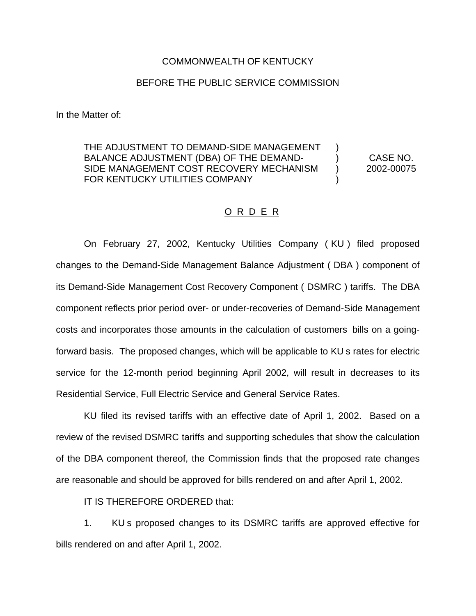## COMMONWEALTH OF KENTUCKY

## BEFORE THE PUBLIC SERVICE COMMISSION

In the Matter of:

## THE ADJUSTMENT TO DEMAND-SIDE MANAGEMENT BALANCE ADJUSTMENT (DBA) OF THE DEMAND- ) CASE NO. SIDE MANAGEMENT COST RECOVERY MECHANISM ) 2002-00075 FOR KENTUCKY UTILITIES COMPANY

## O R D E R

On February 27, 2002, Kentucky Utilities Company ( KU ) filed proposed changes to the Demand-Side Management Balance Adjustment ( DBA ) component of its Demand-Side Management Cost Recovery Component ( DSMRC ) tariffs. The DBA component reflects prior period over- or under-recoveries of Demand-Side Management costs and incorporates those amounts in the calculation of customers bills on a goingforward basis. The proposed changes, which will be applicable to KU s rates for electric service for the 12-month period beginning April 2002, will result in decreases to its Residential Service, Full Electric Service and General Service Rates.

KU filed its revised tariffs with an effective date of April 1, 2002. Based on a review of the revised DSMRC tariffs and supporting schedules that show the calculation of the DBA component thereof, the Commission finds that the proposed rate changes are reasonable and should be approved for bills rendered on and after April 1, 2002.

IT IS THEREFORE ORDERED that:

1. KU s proposed changes to its DSMRC tariffs are approved effective for bills rendered on and after April 1, 2002.